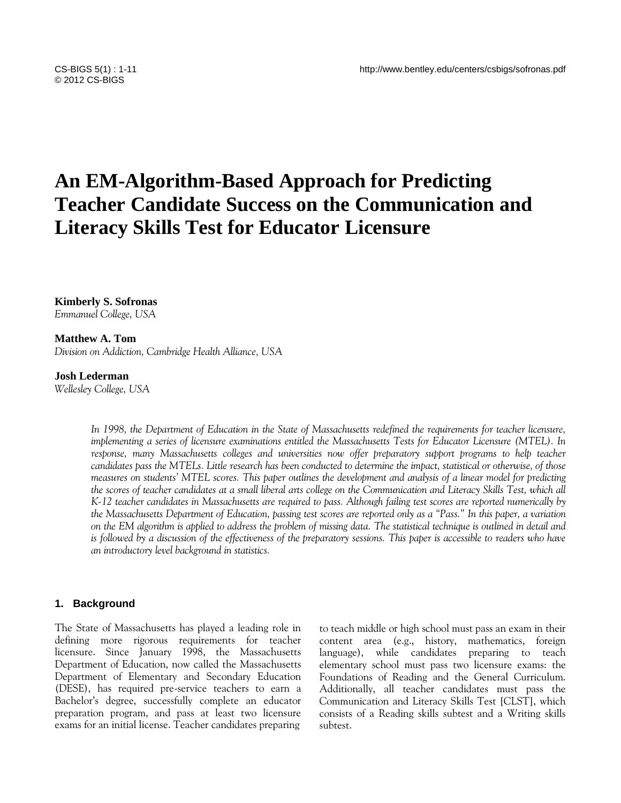# **An EM-Algorithm-Based Approach for Predicting Teacher Candidate Success on the Communication and Literacy Skills Test for Educator Licensure**

**Kimberly S. Sofronas**

*Emmanuel College, USA*

# **Matthew A. Tom**

*Division on Addiction, Cambridge Health Alliance, USA*

#### **Josh Lederman**

*Wellesley College, USA*

In 1998, the Department of Education in the State of Massachusetts redefined the requirements for teacher licensure, *implementing a series of licensure examinations entitled the Massachusetts Tests for Educator Licensure (MTEL). In response, many Massachusetts colleges and universities now offer preparatory support programs to help teacher candidates pass the MTELs. Little research has been conducted to determine the impact, statistical or otherwise, of those measures on students' MTEL scores. This paper outlines the development and analysis of a linear model for predicting the scores of teacher candidates at a small liberal arts college on the Communication and Literacy Skills Test, which all K-12 teacher candidates in Massachusetts are required to pass. Although failing test scores are reported numerically by the Massachusetts Department of Education, passing test scores are reported only as a "Pass." In this paper, a variation on the EM algorithm is applied to address the problem of missing data. The statistical technique is outlined in detail and is followed by a discussion of the effectiveness of the preparatory sessions. This paper is accessible to readers who have an introductory level background in statistics.*

## **1. Background**

The State of Massachusetts has played a leading role in defining more rigorous requirements for teacher licensure. Since January 1998, the Massachusetts Department of Education, now called the Massachusetts Department of Elementary and Secondary Education (DESE), has required pre-service teachers to earn a Bachelor's degree, successfully complete an educator preparation program, and pass at least two licensure exams for an initial license. Teacher candidates preparing

to teach middle or high school must pass an exam in their content area (e.g., history, mathematics, foreign language), while candidates preparing to teach elementary school must pass two licensure exams: the Foundations of Reading and the General Curriculum. Additionally, all teacher candidates must pass the Communication and Literacy Skills Test [CLST], which consists of a Reading skills subtest and a Writing skills subtest.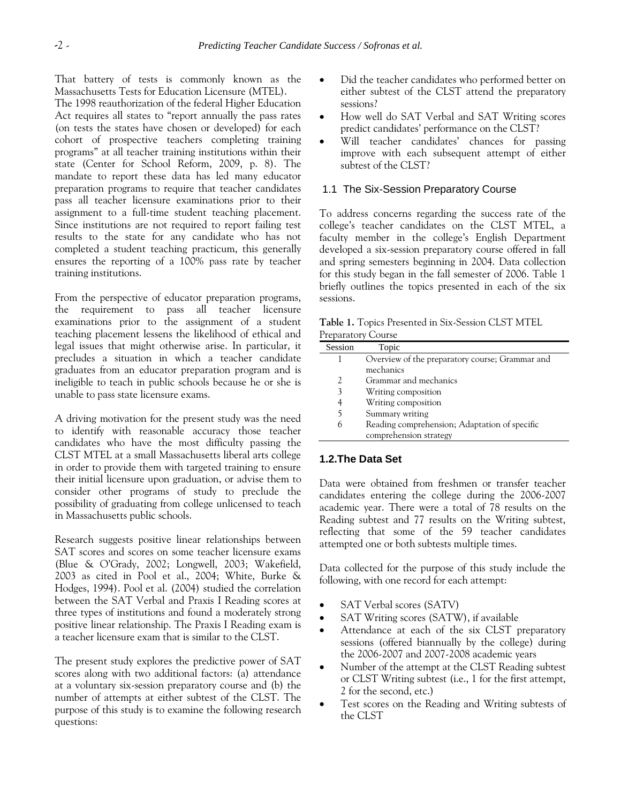That battery of tests is commonly known as the Massachusetts Tests for Education Licensure (MTEL).

The 1998 reauthorization of the federal Higher Education Act requires all states to "report annually the pass rates (on tests the states have chosen or developed) for each cohort of prospective teachers completing training programs" at all teacher training institutions within their state (Center for School Reform, 2009, p. 8). The mandate to report these data has led many educator preparation programs to require that teacher candidates pass all teacher licensure examinations prior to their assignment to a full-time student teaching placement. Since institutions are not required to report failing test results to the state for any candidate who has not completed a student teaching practicum, this generally ensures the reporting of a 100% pass rate by teacher training institutions.

From the perspective of educator preparation programs, the requirement to pass all teacher licensure examinations prior to the assignment of a student teaching placement lessens the likelihood of ethical and legal issues that might otherwise arise. In particular, it precludes a situation in which a teacher candidate graduates from an educator preparation program and is ineligible to teach in public schools because he or she is unable to pass state licensure exams.

A driving motivation for the present study was the need to identify with reasonable accuracy those teacher candidates who have the most difficulty passing the CLST MTEL at a small Massachusetts liberal arts college in order to provide them with targeted training to ensure their initial licensure upon graduation, or advise them to consider other programs of study to preclude the possibility of graduating from college unlicensed to teach in Massachusetts public schools.

Research suggests positive linear relationships between SAT scores and scores on some teacher licensure exams (Blue & O'Grady, 2002; Longwell, 2003; Wakefield, 2003 as cited in Pool et al., 2004; White, Burke & Hodges, 1994). Pool et al. (2004) studied the correlation between the SAT Verbal and Praxis I Reading scores at three types of institutions and found a moderately strong positive linear relationship. The Praxis I Reading exam is a teacher licensure exam that is similar to the CLST.

The present study explores the predictive power of SAT scores along with two additional factors: (a) attendance at a voluntary six-session preparatory course and (b) the number of attempts at either subtest of the CLST. The purpose of this study is to examine the following research questions:

- Did the teacher candidates who performed better on either subtest of the CLST attend the preparatory sessions?
- How well do SAT Verbal and SAT Writing scores predict candidates' performance on the CLST?
- Will teacher candidates' chances for passing improve with each subsequent attempt of either subtest of the CLST?

#### 1.1 The Six-Session Preparatory Course

To address concerns regarding the success rate of the college's teacher candidates on the CLST MTEL, a faculty member in the college's English Department developed a six-session preparatory course offered in fall and spring semesters beginning in 2004. Data collection for this study began in the fall semester of 2006. Table 1 briefly outlines the topics presented in each of the six sessions.

**Table 1.** Topics Presented in Six-Session CLST MTEL Preparatory Course

| Session | Topic                                           |
|---------|-------------------------------------------------|
|         | Overview of the preparatory course; Grammar and |
|         | mechanics                                       |
|         | Grammar and mechanics                           |
| 3       | Writing composition                             |
|         | Writing composition                             |
| 5       | Summary writing                                 |
| 6       | Reading comprehension; Adaptation of specific   |
|         | comprehension strategy                          |

#### **1.2.The Data Set**

Data were obtained from freshmen or transfer teacher candidates entering the college during the 2006-2007 academic year. There were a total of 78 results on the Reading subtest and 77 results on the Writing subtest, reflecting that some of the 59 teacher candidates attempted one or both subtests multiple times.

Data collected for the purpose of this study include the following, with one record for each attempt:

- SAT Verbal scores (SATV)
- SAT Writing scores (SATW), if available
- Attendance at each of the six CLST preparatory sessions (offered biannually by the college) during the 2006-2007 and 2007-2008 academic years
- Number of the attempt at the CLST Reading subtest or CLST Writing subtest (i.e., 1 for the first attempt, 2 for the second, etc.)
- Test scores on the Reading and Writing subtests of the CLST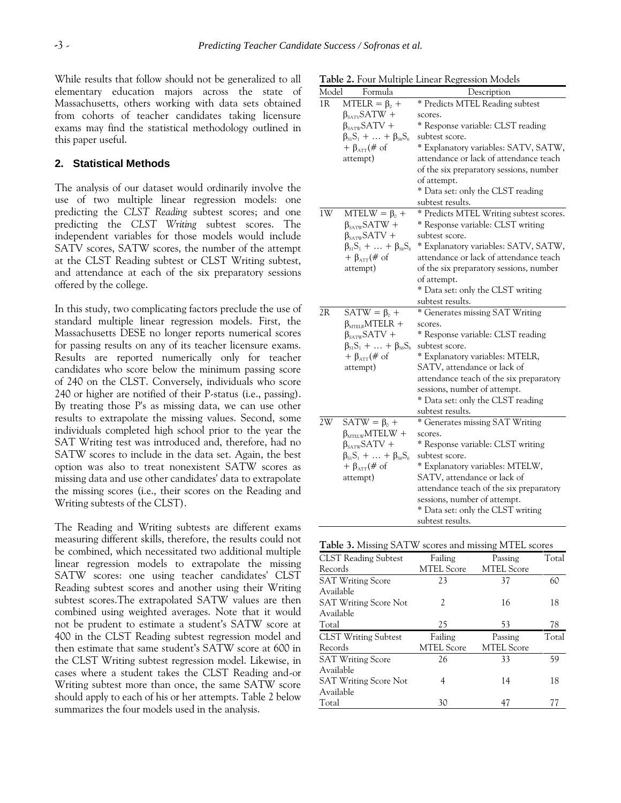While results that follow should not be generalized to all elementary education majors across the state of Massachusetts, others working with data sets obtained from cohorts of teacher candidates taking licensure exams may find the statistical methodology outlined in this paper useful.

#### **2. Statistical Methods**

The analysis of our dataset would ordinarily involve the use of two multiple linear regression models: one predicting the *CLST Reading* subtest scores; and one predicting the *CLST Writing* subtest scores. The independent variables for those models would include SATV scores, SATW scores, the number of the attempt at the CLST Reading subtest or CLST Writing subtest, and attendance at each of the six preparatory sessions offered by the college.

In this study, two complicating factors preclude the use of standard multiple linear regression models. First, the Massachusetts DESE no longer reports numerical scores for passing results on any of its teacher licensure exams. Results are reported numerically only for teacher candidates who score below the minimum passing score of 240 on the CLST. Conversely, individuals who score 240 or higher are notified of their P-status (i.e., passing). By treating those P's as missing data, we can use other results to extrapolate the missing values. Second, some individuals completed high school prior to the year the SAT Writing test was introduced and, therefore, had no SATW scores to include in the data set. Again, the best option was also to treat nonexistent SATW scores as missing data and use other candidates' data to extrapolate the missing scores (i.e., their scores on the Reading and Writing subtests of the CLST).

The Reading and Writing subtests are different exams measuring different skills, therefore, the results could not be combined, which necessitated two additional multiple linear regression models to extrapolate the missing SATW scores: one using teacher candidates' CLST Reading subtest scores and another using their Writing subtest scores.The extrapolated SATW values are then combined using weighted averages. Note that it would not be prudent to estimate a student's SATW score at 400 in the CLST Reading subtest regression model and then estimate that same student's SATW score at 600 in the CLST Writing subtest regression model. Likewise, in cases where a student takes the CLST Reading and-or Writing subtest more than once, the same SATW score should apply to each of his or her attempts. Table 2 below summarizes the four models used in the analysis.

**Table 2.** Four Multiple Linear Regression Models

| * Predicts MTEL Reading subtest<br>1R<br>$MTELR = \beta_0 +$                     |  |
|----------------------------------------------------------------------------------|--|
|                                                                                  |  |
| $\beta_{\text{SATV}}$ SATW +<br>scores.                                          |  |
| $\beta_{\text{SATW}}$ SATV +<br>* Response variable: CLST reading                |  |
| $\beta_{s_1}S_1 +  + \beta_{s_6}S_6$<br>subtest score.                           |  |
| $+ \beta_{ATT}$ (# of<br>* Explanatory variables: SATV, SATW,                    |  |
| attendance or lack of attendance teach<br>attempt)                               |  |
| of the six preparatory sessions, number                                          |  |
| of attempt.                                                                      |  |
| * Data set: only the CLST reading                                                |  |
| subtest results.                                                                 |  |
| 1W<br>$MTELW = \beta_0 +$<br>* Predicts MTEL Writing subtest scores.             |  |
| $\beta_{\text{SATW}}$ SATW +<br>* Response variable: CLST writing                |  |
| $\beta_{\text{SATW}}$ SATV +<br>subtest score.                                   |  |
| * Explanatory variables: SATV, SATW,<br>$\beta_{s_1}S_1 +  + \beta_{s_6}S_6$     |  |
| attendance or lack of attendance teach<br>+ $\beta_{ATT}$ (# of                  |  |
| of the six preparatory sessions, number<br>attempt)                              |  |
| of attempt.                                                                      |  |
| * Data set: only the CLST writing                                                |  |
| subtest results.                                                                 |  |
| $\overline{2R}$<br>* Generates missing SAT Writing<br>$SATW = \beta_0 +$         |  |
| $\beta_{MTELR}$ MTELR +<br>scores.                                               |  |
| $\beta_{\text{SATW}}$ SATV +<br>* Response variable: CLST reading                |  |
| $\beta_{s_1}S_1 +  + \beta_{s_6}S_6$<br>subtest score.                           |  |
| $+ \beta_{ATT}$ (# of<br>* Explanatory variables: MTELR,                         |  |
| SATV, attendance or lack of<br>attempt)                                          |  |
| attendance teach of the six preparatory                                          |  |
| sessions, number of attempt.                                                     |  |
| * Data set: only the CLST reading                                                |  |
| subtest results.<br>2W                                                           |  |
| * Generates missing SAT Writing<br>$SATW = \beta_0 +$<br>$\beta_{MTELW} MTELW +$ |  |
| scores.<br>$\beta_{\text{SATW}}$ SATV +<br>* Response variable: CLST writing     |  |
| $\beta_{s_1}S_1 +  + \beta_{s_6}S_6$<br>subtest score.                           |  |
| * Explanatory variables: MTELW,<br>+ $\beta_{ATT}$ (# of                         |  |
| SATV, attendance or lack of<br>attempt)                                          |  |
| attendance teach of the six preparatory                                          |  |
| sessions, number of attempt.                                                     |  |
| * Data set: only the CLST writing                                                |  |
| subtest results.                                                                 |  |

| <b>CLST</b> Reading Subtest  | Failing           | Passing           | Total |
|------------------------------|-------------------|-------------------|-------|
| Records                      | <b>MTEL Score</b> | <b>MTEL Score</b> |       |
| <b>SAT Writing Score</b>     | 23                | 37                | 60    |
| Available                    |                   |                   |       |
| <b>SAT Writing Score Not</b> | 2.                | 16                | 18    |
| Available                    |                   |                   |       |
| Total                        | 25                | 53                | 78    |
| <b>CLST Writing Subtest</b>  | Failing           | Passing           | Total |
| Records                      | <b>MTEL Score</b> | <b>MTEL Score</b> |       |
| <b>SAT Writing Score</b>     | 26                | 33                | 59    |
| Available                    |                   |                   |       |
| <b>SAT Writing Score Not</b> |                   | 14                | 18    |
| Available                    |                   |                   |       |
| Total                        | 30                | 47                | 77    |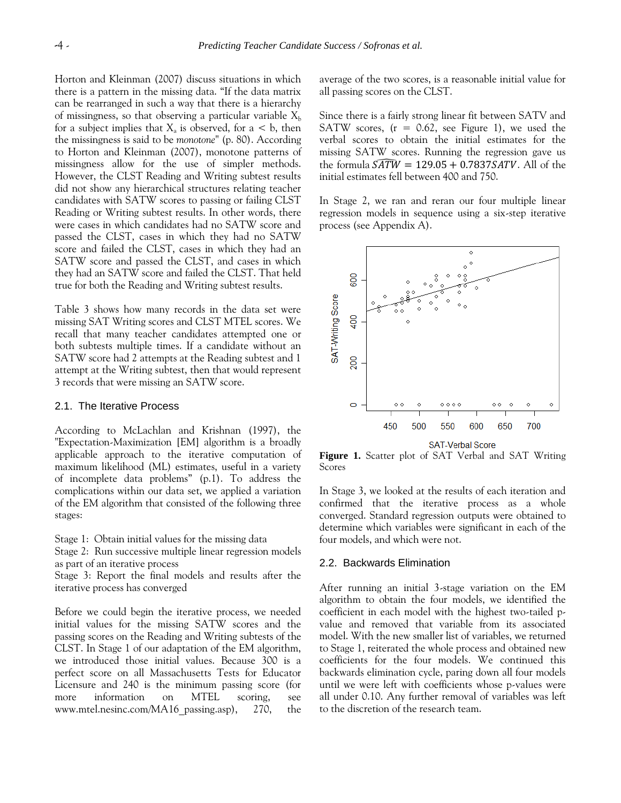Horton and Kleinman (2007) discuss situations in which there is a pattern in the missing data. "If the data matrix can be rearranged in such a way that there is a hierarchy of missingness, so that observing a particular variable  $X_b$ for a subject implies that  $X_a$  is observed, for a  $\lt$  b, then the missingness is said to be *monotone*" (p. 80). According to Horton and Kleinman (2007), monotone patterns of missingness allow for the use of simpler methods. However, the CLST Reading and Writing subtest results did not show any hierarchical structures relating teacher candidates with SATW scores to passing or failing CLST Reading or Writing subtest results. In other words, there were cases in which candidates had no SATW score and passed the CLST, cases in which they had no SATW score and failed the CLST, cases in which they had an SATW score and passed the CLST, and cases in which they had an SATW score and failed the CLST. That held true for both the Reading and Writing subtest results.

Table 3 shows how many records in the data set were missing SAT Writing scores and CLST MTEL scores. We recall that many teacher candidates attempted one or both subtests multiple times. If a candidate without an SATW score had 2 attempts at the Reading subtest and 1 attempt at the Writing subtest, then that would represent 3 records that were missing an SATW score.

## 2.1. The Iterative Process

According to McLachlan and Krishnan (1997), the "Expectation-Maximization [EM] algorithm is a broadly applicable approach to the iterative computation of maximum likelihood (ML) estimates, useful in a variety of incomplete data problems" (p.1). To address the complications within our data set, we applied a variation of the EM algorithm that consisted of the following three stages:

Stage 1: Obtain initial values for the missing data

Stage 2: Run successive multiple linear regression models as part of an iterative process

Stage 3: Report the final models and results after the iterative process has converged

Before we could begin the iterative process, we needed initial values for the missing SATW scores and the passing scores on the Reading and Writing subtests of the CLST. In Stage 1 of our adaptation of the EM algorithm, we introduced those initial values. Because 300 is a perfect score on all Massachusetts Tests for Educator Licensure and 240 is the minimum passing score (for more information on MTEL scoring, see www.mtel.nesinc.com/MA16 passing.asp), 270, the average of the two scores, is a reasonable initial value for all passing scores on the CLST.

Since there is a fairly strong linear fit between SATV and SATW scores,  $(r = 0.62, \text{ see Figure 1}),$  we used the verbal scores to obtain the initial estimates for the missing SATW scores. Running the regression gave us the formula  $\widehat{SATW} = 129.05 + 0.7837SATV$ . All of the initial estimates fell between 400 and 750.

In Stage 2, we ran and reran our four multiple linear regression models in sequence using a six-step iterative process (see Appendix A).



**Figure 1.** Scatter plot of SAT Verbal and SAT Writing Scores

In Stage 3, we looked at the results of each iteration and confirmed that the iterative process as a whole converged. Standard regression outputs were obtained to determine which variables were significant in each of the four models, and which were not.

#### 2.2. Backwards Elimination

After running an initial 3-stage variation on the EM algorithm to obtain the four models, we identified the coefficient in each model with the highest two-tailed pvalue and removed that variable from its associated model. With the new smaller list of variables, we returned to Stage 1, reiterated the whole process and obtained new coefficients for the four models. We continued this backwards elimination cycle, paring down all four models until we were left with coefficients whose p-values were all under 0.10. Any further removal of variables was left to the discretion of the research team.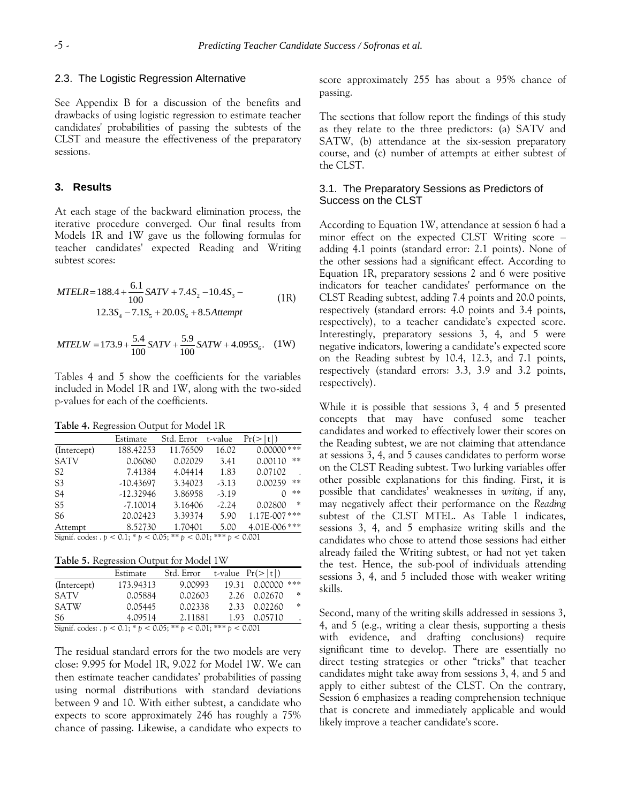## 2.3. The Logistic Regression Alternative

See Appendix B for a discussion of the benefits and drawbacks of using logistic regression to estimate teacher candidates' probabilities of passing the subtests of the CLST and measure the effectiveness of the preparatory sessions.

#### **3. Results**

At each stage of the backward elimination process, the iterative procedure converged. Our final results from Models 1R and 1W gave us the following formulas for teacher candidates' expected Reading and Writing subtest scores:

$$
MTELR = 188.4 + \frac{6.1}{100} SATV + 7.4S_2 - 10.4S_3 - 12.3S_4 - 7.1S_5 + 20.0S_6 + 8.5Attempt
$$
\n(1R)

$$
MTELW = 173.9 + \frac{5.4}{100} SATV + \frac{5.9}{100} SATW + 4.095S_6. \quad (1W)
$$

Tables 4 and 5 show the coefficients for the variables included in Model 1R and 1W, along with the two-sided p-values for each of the coefficients.

**Table 4.** Regression Output for Model 1R

|                                                                           | Estimate    | Std. Error | t-value | $Pr(>\vert t \vert)$ |
|---------------------------------------------------------------------------|-------------|------------|---------|----------------------|
| (Intercept)                                                               | 188.42253   | 11.76509   | 16.02   | $0.00000$ ***        |
| <b>SATV</b>                                                               | 0.06080     | 0.02029    | 3.41    | 0.00110<br>$***$     |
| S <sub>2</sub>                                                            | 7.41384     | 4.04414    | 1.83    | 0.07102              |
| S <sub>3</sub>                                                            | $-10.43697$ | 3.34023    | $-3.13$ | 0.00259<br>**        |
| S4                                                                        | $-12.32946$ | 3.86958    | $-3.19$ | $***$<br>Λ           |
| S <sub>5</sub>                                                            | $-7.10014$  | 3.16406    | $-2.24$ | $\ast$<br>0.02800    |
| S6                                                                        | 20.02423    | 3.39374    | 5.90    | 1.17E-007 ***        |
| Attempt                                                                   | 8.52730     | 1.70401    | 5.00    | 4.01E-006***         |
| Signif. codes: $p < 0.1$ ; * $p < 0.05$ ; ** $p < 0.01$ ; *** $p < 0.001$ |             |            |         |                      |

**Table 5.** Regression Output for Model 1W

|             | Estimate                                                                  | Std. Error |       | t-value $Pr(>\vert t \vert)$ |     |
|-------------|---------------------------------------------------------------------------|------------|-------|------------------------------|-----|
| (Intercept) | 173.94313                                                                 | 9.00993    | 19.31 | 0.00000                      | *** |
| <b>SATV</b> | 0.05884                                                                   | 0.02603    | 2.26  | 0.02670                      | ∗   |
| <b>SATW</b> | 0.05445                                                                   | 0.02338    | 2.33  | 0.02260                      | ∗   |
| S6          | 4.09514                                                                   | 2.11881    | 1.93  | 0.05710                      |     |
|             | Signif. codes: $p < 0.1$ ; * $p < 0.05$ ; ** $p < 0.01$ ; *** $p < 0.001$ |            |       |                              |     |

The residual standard errors for the two models are very close: 9.995 for Model 1R, 9.022 for Model 1W. We can then estimate teacher candidates' probabilities of passing using normal distributions with standard deviations between 9 and 10. With either subtest, a candidate who expects to score approximately 246 has roughly a 75% chance of passing. Likewise, a candidate who expects to score approximately 255 has about a 95% chance of passing.

The sections that follow report the findings of this study as they relate to the three predictors: (a) SATV and SATW, (b) attendance at the six-session preparatory course, and (c) number of attempts at either subtest of the CLST.

# 3.1. The Preparatory Sessions as Predictors of Success on the CLST

According to Equation 1W, attendance at session 6 had a minor effect on the expected CLST Writing score – adding 4.1 points (standard error: 2.1 points). None of the other sessions had a significant effect. According to Equation 1R, preparatory sessions 2 and 6 were positive indicators for teacher candidates' performance on the CLST Reading subtest, adding 7.4 points and 20.0 points, respectively (standard errors: 4.0 points and 3.4 points, respectively), to a teacher candidate's expected score. Interestingly, preparatory sessions 3, 4, and 5 were negative indicators, lowering a candidate's expected score on the Reading subtest by 10.4, 12.3, and 7.1 points, respectively (standard errors: 3.3, 3.9 and 3.2 points, respectively).

While it is possible that sessions 3, 4 and 5 presented concepts that may have confused some teacher candidates and worked to effectively lower their scores on the Reading subtest, we are not claiming that attendance at sessions 3, 4, and 5 causes candidates to perform worse on the CLST Reading subtest. Two lurking variables offer other possible explanations for this finding. First, it is possible that candidates' weaknesses in *writing*, if any, may negatively affect their performance on the *Reading* subtest of the CLST MTEL. As Table 1 indicates, sessions 3, 4, and 5 emphasize writing skills and the candidates who chose to attend those sessions had either already failed the Writing subtest, or had not yet taken the test. Hence, the sub-pool of individuals attending sessions 3, 4, and 5 included those with weaker writing skills.

Second, many of the writing skills addressed in sessions 3, 4, and 5 (e.g., writing a clear thesis, supporting a thesis with evidence, and drafting conclusions) require significant time to develop. There are essentially no direct testing strategies or other "tricks" that teacher candidates might take away from sessions 3, 4, and 5 and apply to either subtest of the CLST. On the contrary, Session 6 emphasizes a reading comprehension technique that is concrete and immediately applicable and would likely improve a teacher candidate's score.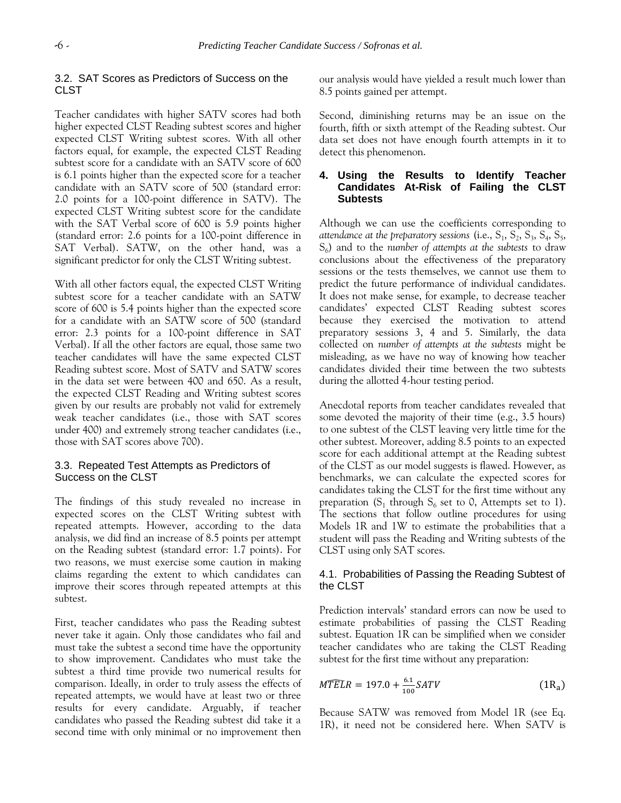# 3.2. SAT Scores as Predictors of Success on the CLST

Teacher candidates with higher SATV scores had both higher expected CLST Reading subtest scores and higher expected CLST Writing subtest scores. With all other factors equal, for example, the expected CLST Reading subtest score for a candidate with an SATV score of 600 is 6.1 points higher than the expected score for a teacher candidate with an SATV score of 500 (standard error: 2.0 points for a 100-point difference in SATV). The expected CLST Writing subtest score for the candidate with the SAT Verbal score of 600 is 5.9 points higher (standard error: 2.6 points for a 100-point difference in SAT Verbal). SATW, on the other hand, was a significant predictor for only the CLST Writing subtest.

With all other factors equal, the expected CLST Writing subtest score for a teacher candidate with an SATW score of 600 is 5.4 points higher than the expected score for a candidate with an SATW score of 500 (standard error: 2.3 points for a 100-point difference in SAT Verbal). If all the other factors are equal, those same two teacher candidates will have the same expected CLST Reading subtest score. Most of SATV and SATW scores in the data set were between 400 and 650. As a result, the expected CLST Reading and Writing subtest scores given by our results are probably not valid for extremely weak teacher candidates (i.e., those with SAT scores under 400) and extremely strong teacher candidates (i.e., those with SAT scores above 700).

#### 3.3. Repeated Test Attempts as Predictors of Success on the CLST

The findings of this study revealed no increase in expected scores on the CLST Writing subtest with repeated attempts. However, according to the data analysis, we did find an increase of 8.5 points per attempt on the Reading subtest (standard error: 1.7 points). For two reasons, we must exercise some caution in making claims regarding the extent to which candidates can improve their scores through repeated attempts at this subtest.

First, teacher candidates who pass the Reading subtest never take it again. Only those candidates who fail and must take the subtest a second time have the opportunity to show improvement. Candidates who must take the subtest a third time provide two numerical results for comparison. Ideally, in order to truly assess the effects of repeated attempts, we would have at least two or three results for every candidate. Arguably, if teacher candidates who passed the Reading subtest did take it a second time with only minimal or no improvement then

our analysis would have yielded a result much lower than 8.5 points gained per attempt.

Second, diminishing returns may be an issue on the fourth, fifth or sixth attempt of the Reading subtest. Our data set does not have enough fourth attempts in it to detect this phenomenon.

## **4. Using the Results to Identify Teacher Candidates At-Risk of Failing the CLST Subtests**

Although we can use the coefficients corresponding to attendance at the preparatory sessions (i.e.,  $S_1$ ,  $S_2$ ,  $S_3$ ,  $S_4$ ,  $S_5$ , S6 ) and to the *number of attempts at the subtests* to draw conclusions about the effectiveness of the preparatory sessions or the tests themselves, we cannot use them to predict the future performance of individual candidates. It does not make sense, for example, to decrease teacher candidates' expected CLST Reading subtest scores because they exercised the motivation to attend preparatory sessions 3, 4 and 5. Similarly, the data collected on *number of attempts at the subtests* might be misleading, as we have no way of knowing how teacher candidates divided their time between the two subtests during the allotted 4-hour testing period.

Anecdotal reports from teacher candidates revealed that some devoted the majority of their time (e.g., 3.5 hours) to one subtest of the CLST leaving very little time for the other subtest. Moreover, adding 8.5 points to an expected score for each additional attempt at the Reading subtest of the CLST as our model suggests is flawed. However, as benchmarks, we can calculate the expected scores for candidates taking the CLST for the first time without any preparation (S<sub>1</sub> through S<sub>6</sub> set to 0, Attempts set to 1). The sections that follow outline procedures for using Models 1R and 1W to estimate the probabilities that a student will pass the Reading and Writing subtests of the CLST using only SAT scores.

## 4.1. Probabilities of Passing the Reading Subtest of the CLST

Prediction intervals' standard errors can now be used to estimate probabilities of passing the CLST Reading subtest. Equation 1R can be simplified when we consider teacher candidates who are taking the CLST Reading subtest for the first time without any preparation:

$$
MTELR = 197.0 + \frac{6.1}{100} SATV
$$
 (1R<sub>a</sub>)

Because SATW was removed from Model 1R (see Eq. 1R), it need not be considered here. When SATV is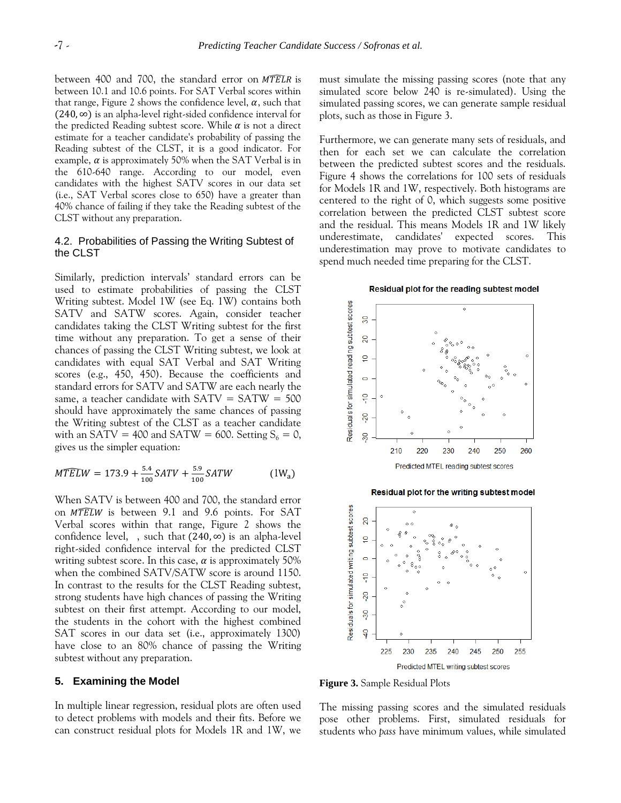between 400 and 700, the standard error on  $MTELR$  is between 10.1 and 10.6 points. For SAT Verbal scores within that range, Figure 2 shows the confidence level,  $\alpha$ , such that  $(240, \infty)$  is an alpha-level right-sided confidence interval for the predicted Reading subtest score. While  $\alpha$  is not a direct estimate for a teacher candidate's probability of passing the Reading subtest of the CLST, it is a good indicator. For example,  $\alpha$  is approximately 50% when the SAT Verbal is in the 610-640 range. According to our model, even candidates with the highest SATV scores in our data set (i.e., SAT Verbal scores close to 650) have a greater than 40% chance of failing if they take the Reading subtest of the CLST without any preparation.

# 4.2. Probabilities of Passing the Writing Subtest of the CLST

Similarly, prediction intervals' standard errors can be used to estimate probabilities of passing the CLST Writing subtest. Model 1W (see Eq. 1W) contains both SATV and SATW scores. Again, consider teacher candidates taking the CLST Writing subtest for the first time without any preparation. To get a sense of their chances of passing the CLST Writing subtest, we look at candidates with equal SAT Verbal and SAT Writing scores (e.g., 450, 450). Because the coefficients and standard errors for SATV and SATW are each nearly the same, a teacher candidate with  $SATV = SATW = 500$ should have approximately the same chances of passing the Writing subtest of the CLST as a teacher candidate with an SATV = 400 and SATW = 600. Setting  $S_6 = 0$ , gives us the simpler equation:

$$
MTELW = 173.9 + \frac{5.4}{100} SATV + \frac{5.9}{100} SATW
$$
 (1W<sub>a</sub>)

When SATV is between 400 and 700, the standard error on MTELW is between 9.1 and 9.6 points. For SAT Verbal scores within that range, Figure 2 shows the confidence level, , such that  $(240, \infty)$  is an alpha-level right-sided confidence interval for the predicted CLST writing subtest score. In this case,  $\alpha$  is approximately 50% when the combined SATV/SATW score is around 1150. In contrast to the results for the CLST Reading subtest, strong students have high chances of passing the Writing subtest on their first attempt. According to our model, the students in the cohort with the highest combined SAT scores in our data set (i.e., approximately 1300) have close to an 80% chance of passing the Writing subtest without any preparation.

#### **5. Examining the Model**

In multiple linear regression, residual plots are often used to detect problems with models and their fits. Before we can construct residual plots for Models 1R and 1W, we must simulate the missing passing scores (note that any simulated score below 240 is re-simulated). Using the simulated passing scores, we can generate sample residual plots, such as those in Figure 3.

Furthermore, we can generate many sets of residuals, and then for each set we can calculate the correlation between the predicted subtest scores and the residuals. Figure 4 shows the correlations for 100 sets of residuals for Models 1R and 1W, respectively. Both histograms are centered to the right of 0, which suggests some positive correlation between the predicted CLST subtest score and the residual. This means Models 1R and 1W likely underestimate, candidates' expected scores. This underestimation may prove to motivate candidates to spend much needed time preparing for the CLST.

#### Residual plot for the reading subtest model



Residual plot for the writing subtest model



**Figure 3.** Sample Residual Plots

The missing passing scores and the simulated residuals pose other problems. First, simulated residuals for students who *pass* have minimum values, while simulated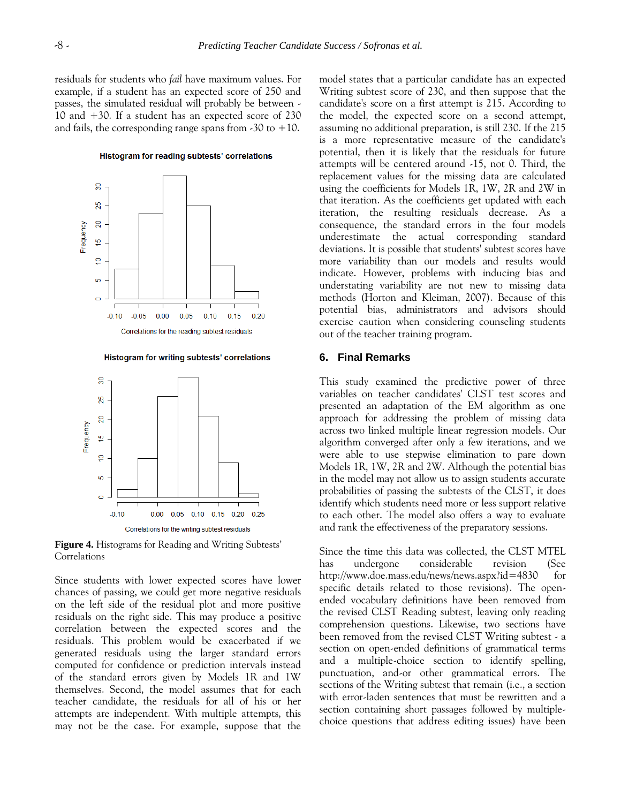residuals for students who *fail* have maximum values. For example, if a student has an expected score of 250 and passes, the simulated residual will probably be between - 10 and +30. If a student has an expected score of 230 and fails, the corresponding range spans from  $-30$  to  $+10$ .

#### **Histogram for reading subtests' correlations**



Histogram for writing subtests' correlations



**Figure 4.** Histograms for Reading and Writing Subtests' Correlations

Since students with lower expected scores have lower chances of passing, we could get more negative residuals on the left side of the residual plot and more positive residuals on the right side. This may produce a positive correlation between the expected scores and the residuals. This problem would be exacerbated if we generated residuals using the larger standard errors computed for confidence or prediction intervals instead of the standard errors given by Models 1R and 1W themselves. Second, the model assumes that for each teacher candidate, the residuals for all of his or her attempts are independent. With multiple attempts, this may not be the case. For example, suppose that the model states that a particular candidate has an expected Writing subtest score of 230, and then suppose that the candidate's score on a first attempt is 215. According to the model, the expected score on a second attempt, assuming no additional preparation, is still 230. If the 215 is a more representative measure of the candidate's potential, then it is likely that the residuals for future attempts will be centered around -15, not 0. Third, the replacement values for the missing data are calculated using the coefficients for Models 1R, 1W, 2R and 2W in that iteration. As the coefficients get updated with each iteration, the resulting residuals decrease. As a consequence, the standard errors in the four models underestimate the actual corresponding standard deviations. It is possible that students' subtest scores have more variability than our models and results would indicate. However, problems with inducing bias and understating variability are not new to missing data methods (Horton and Kleiman, 2007). Because of this potential bias, administrators and advisors should exercise caution when considering counseling students out of the teacher training program.

#### **6. Final Remarks**

This study examined the predictive power of three variables on teacher candidates' CLST test scores and presented an adaptation of the EM algorithm as one approach for addressing the problem of missing data across two linked multiple linear regression models. Our algorithm converged after only a few iterations, and we were able to use stepwise elimination to pare down Models 1R, 1W, 2R and 2W. Although the potential bias in the model may not allow us to assign students accurate probabilities of passing the subtests of the CLST, it does identify which students need more or less support relative to each other. The model also offers a way to evaluate and rank the effectiveness of the preparatory sessions.

Since the time this data was collected, the CLST MTEL has undergone considerable revision (See http://www.doe.mass.edu/news/news.aspx?id=4830 for specific details related to those revisions). The openended vocabulary definitions have been removed from the revised CLST Reading subtest, leaving only reading comprehension questions. Likewise, two sections have been removed from the revised CLST Writing subtest - a section on open-ended definitions of grammatical terms and a multiple-choice section to identify spelling, punctuation, and-or other grammatical errors. The sections of the Writing subtest that remain (i.e., a section with error-laden sentences that must be rewritten and a section containing short passages followed by multiplechoice questions that address editing issues) have been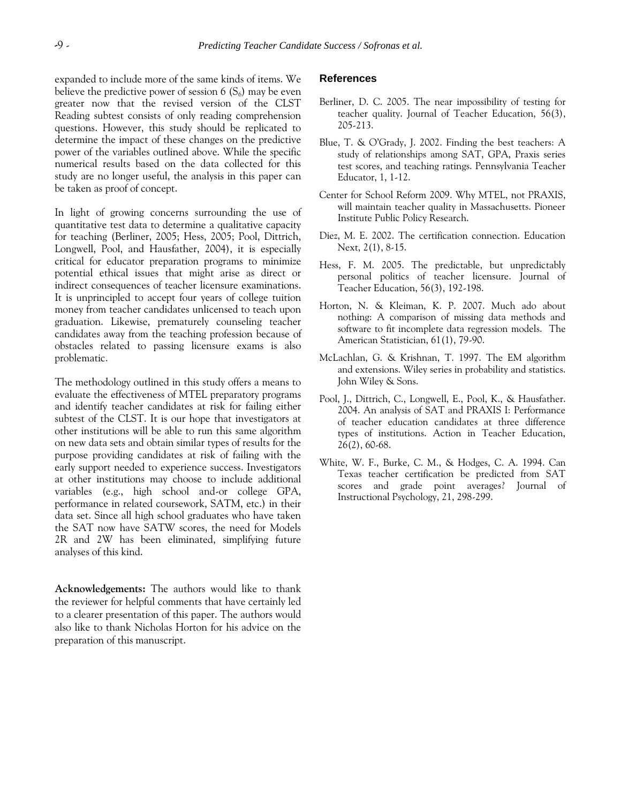expanded to include more of the same kinds of items. We believe the predictive power of session 6  $(S_6)$  may be even greater now that the revised version of the CLST Reading subtest consists of only reading comprehension questions. However, this study should be replicated to determine the impact of these changes on the predictive power of the variables outlined above. While the specific numerical results based on the data collected for this study are no longer useful, the analysis in this paper can be taken as proof of concept.

In light of growing concerns surrounding the use of quantitative test data to determine a qualitative capacity for teaching (Berliner, 2005; Hess, 2005; Pool, Dittrich, Longwell, Pool, and Hausfather, 2004), it is especially critical for educator preparation programs to minimize potential ethical issues that might arise as direct or indirect consequences of teacher licensure examinations. It is unprincipled to accept four years of college tuition money from teacher candidates unlicensed to teach upon graduation. Likewise, prematurely counseling teacher candidates away from the teaching profession because of obstacles related to passing licensure exams is also problematic.

The methodology outlined in this study offers a means to evaluate the effectiveness of MTEL preparatory programs and identify teacher candidates at risk for failing either subtest of the CLST. It is our hope that investigators at other institutions will be able to run this same algorithm on new data sets and obtain similar types of results for the purpose providing candidates at risk of failing with the early support needed to experience success. Investigators at other institutions may choose to include additional variables (e.g., high school and-or college GPA, performance in related coursework, SATM, etc.) in their data set. Since all high school graduates who have taken the SAT now have SATW scores, the need for Models 2R and 2W has been eliminated, simplifying future analyses of this kind.

**Acknowledgements:** The authors would like to thank the reviewer for helpful comments that have certainly led to a clearer presentation of this paper. The authors would also like to thank Nicholas Horton for his advice on the preparation of this manuscript.

## **References**

- Berliner, D. C. 2005. The near impossibility of testing for teacher quality. Journal of Teacher Education, 56(3), 205-213.
- Blue, T. & O'Grady, J. 2002. Finding the best teachers: A study of relationships among SAT, GPA, Praxis series test scores, and teaching ratings. Pennsylvania Teacher Educator, 1, 1-12.
- Center for School Reform 2009. Why MTEL, not PRAXIS, will maintain teacher quality in Massachusetts. Pioneer Institute Public Policy Research.
- Diez, M. E. 2002. The certification connection. Education Next, 2(1), 8-15.
- Hess, F. M. 2005. The predictable, but unpredictably personal politics of teacher licensure. Journal of Teacher Education, 56(3), 192-198.
- Horton, N. & Kleiman, K. P. 2007. Much ado about nothing: A comparison of missing data methods and software to fit incomplete data regression models. The American Statistician, 61(1), 79-90.
- McLachlan, G. & Krishnan, T. 1997. The EM algorithm and extensions. Wiley series in probability and statistics. John Wiley & Sons.
- Pool, J., Dittrich, C., Longwell, E., Pool, K., & Hausfather. 2004. An analysis of SAT and PRAXIS I: Performance of teacher education candidates at three difference types of institutions. Action in Teacher Education, 26(2), 60-68.
- White, W. F., Burke, C. M., & Hodges, C. A. 1994. Can Texas teacher certification be predicted from SAT scores and grade point averages? Journal of Instructional Psychology, 21, 298-299.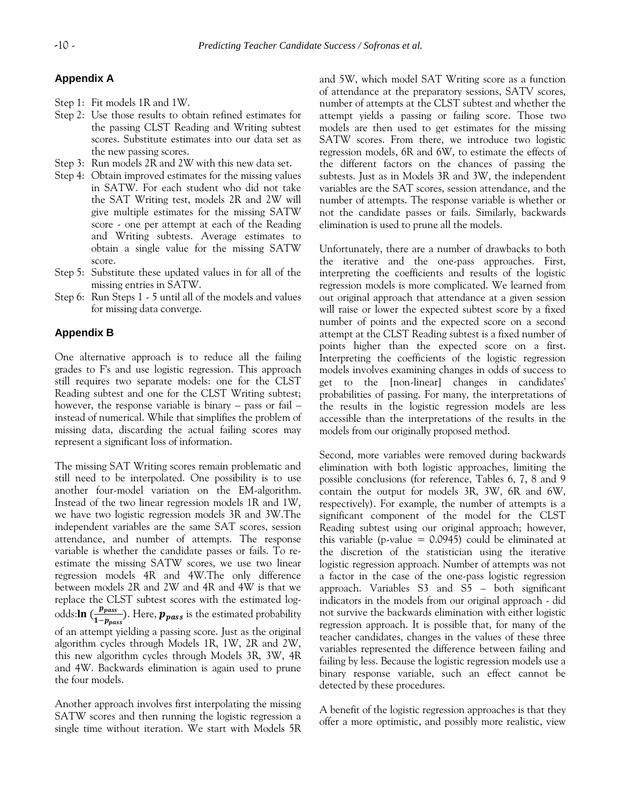# **Appendix A**

- Step 1: Fit models 1R and 1W.
- Step 2: Use those results to obtain refined estimates for the passing CLST Reading and Writing subtest scores. Substitute estimates into our data set as the new passing scores.
- Step 3: Run models 2R and 2W with this new data set.
- Step 4: Obtain improved estimates for the missing values in SATW. For each student who did not take the SAT Writing test, models 2R and 2W will give multiple estimates for the missing SATW score - one per attempt at each of the Reading and Writing subtests. Average estimates to obtain a single value for the missing SATW score.
- Step 5: Substitute these updated values in for all of the missing entries in SATW.
- Step 6: Run Steps 1 5 until all of the models and values for missing data converge.

#### **Appendix B**

One alternative approach is to reduce all the failing grades to F's and use logistic regression. This approach still requires two separate models: one for the CLST Reading subtest and one for the CLST Writing subtest; however, the response variable is binary – pass or fail – instead of numerical. While that simplifies the problem of missing data, discarding the actual failing scores may represent a significant loss of information.

The missing SAT Writing scores remain problematic and still need to be interpolated. One possibility is to use another four-model variation on the EM-algorithm. Instead of the two linear regression models 1R and 1W, we have two logistic regression models 3R and 3W.The independent variables are the same SAT scores, session attendance, and number of attempts. The response variable is whether the candidate passes or fails. To reestimate the missing SATW scores, we use two linear regression models 4R and 4W.The only difference between models 2R and 2W and 4R and 4W is that we replace the CLST subtest scores with the estimated logodds: $\ln\left(\frac{p}{1}\right)$  $\frac{p_{pass}}{1-p_{pass}}$ ). Here,  $p_{pass}$  is the estimated probability of an attempt yielding a passing score. Just as the original algorithm cycles through Models 1R, 1W, 2R and 2W, this new algorithm cycles through Models 3R, 3W, 4R and 4W. Backwards elimination is again used to prune the four models.

Another approach involves first interpolating the missing SATW scores and then running the logistic regression a single time without iteration. We start with Models 5R and 5W, which model SAT Writing score as a function of attendance at the preparatory sessions, SATV scores, number of attempts at the CLST subtest and whether the attempt yields a passing or failing score. Those two models are then used to get estimates for the missing SATW scores. From there, we introduce two logistic regression models, 6R and 6W, to estimate the effects of the different factors on the chances of passing the subtests. Just as in Models 3R and 3W, the independent variables are the SAT scores, session attendance, and the number of attempts. The response variable is whether or not the candidate passes or fails. Similarly, backwards elimination is used to prune all the models.

Unfortunately, there are a number of drawbacks to both the iterative and the one-pass approaches. First, interpreting the coefficients and results of the logistic regression models is more complicated. We learned from out original approach that attendance at a given session will raise or lower the expected subtest score by a fixed number of points and the expected score on a second attempt at the CLST Reading subtest is a fixed number of points higher than the expected score on a first. Interpreting the coefficients of the logistic regression models involves examining changes in odds of success to get to the [non-linear] changes in candidates' probabilities of passing. For many, the interpretations of the results in the logistic regression models are less accessible than the interpretations of the results in the models from our originally proposed method.

Second, more variables were removed during backwards elimination with both logistic approaches, limiting the possible conclusions (for reference, Tables 6, 7, 8 and 9 contain the output for models 3R, 3W, 6R and 6W, respectively). For example, the number of attempts is a significant component of the model for the CLST Reading subtest using our original approach; however, this variable (p-value  $= 0.0945$ ) could be eliminated at the discretion of the statistician using the iterative logistic regression approach. Number of attempts was not a factor in the case of the one-pass logistic regression approach. Variables S3 and S5 – both significant indicators in the models from our original approach - did not survive the backwards elimination with either logistic regression approach. It is possible that, for many of the teacher candidates, changes in the values of these three variables represented the difference between failing and failing by less. Because the logistic regression models use a binary response variable, such an effect cannot be detected by these procedures.

A benefit of the logistic regression approaches is that they offer a more optimistic, and possibly more realistic, view